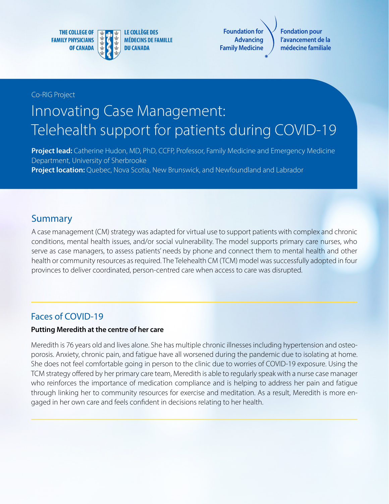**THE COLLEGE OF FAMILY PHYSICIANS OF CANADA** 



**LE COLLÈGE DES MÉDECINS DE FAMILLE DU CANADA** 

**Foundation for Advancing Family Medicine**

**Fondation pour l'avancement de la médecine familiale**

#### Co-RIG Project

# Innovating Case Management: Telehealth support for patients during COVID-19

**Project lead:** Catherine Hudon, MD, PhD, CCFP, Professor, Family Medicine and Emergency Medicine Department, University of Sherbrooke **Project location:** Quebec, Nova Scotia, New Brunswick, and Newfoundland and Labrador

## Summary

A case management (CM) strategy was adapted for virtual use to support patients with complex and chronic conditions, mental health issues, and/or social vulnerability. The model supports primary care nurses, who serve as case managers, to assess patients' needs by phone and connect them to mental health and other health or community resources as required. The Telehealth CM (TCM) model was successfully adopted in four provinces to deliver coordinated, person-centred care when access to care was disrupted.

#### Faces of COVID-19

#### **Putting Meredith at the centre of her care**

Meredith is 76 years old and lives alone. She has multiple chronic illnesses including hypertension and osteoporosis. Anxiety, chronic pain, and fatigue have all worsened during the pandemic due to isolating at home. She does not feel comfortable going in person to the clinic due to worries of COVID-19 exposure. Using the TCM strategy offered by her primary care team, Meredith is able to regularly speak with a nurse case manager who reinforces the importance of medication compliance and is helping to address her pain and fatigue through linking her to community resources for exercise and meditation. As a result, Meredith is more engaged in her own care and feels confident in decisions relating to her health.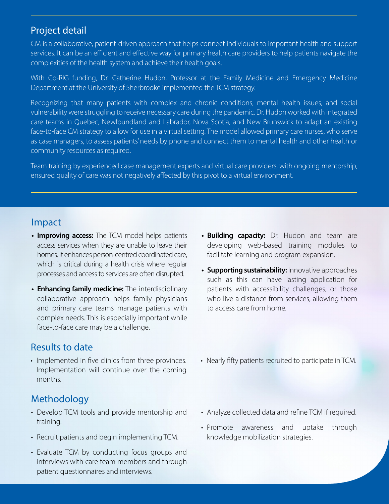## Project detail

CM is a collaborative, patient-driven approach that helps connect individuals to important health and support services. It can be an efficient and effective way for primary health care providers to help patients navigate the complexities of the health system and achieve their health goals.

With Co-RIG funding, Dr. Catherine Hudon, Professor at the Family Medicine and Emergency Medicine Department at the University of Sherbrooke implemented the TCM strategy.

Recognizing that many patients with complex and chronic conditions, mental health issues, and social vulnerability were struggling to receive necessary care during the pandemic, Dr. Hudon worked with integrated care teams in Quebec, Newfoundland and Labrador, Nova Scotia, and New Brunswick to adapt an existing face-to-face CM strategy to allow for use in a virtual setting. The model allowed primary care nurses, who serve as case managers, to assess patients' needs by phone and connect them to mental health and other health or community resources as required.

Team training by experienced case management experts and virtual care providers, with ongoing mentorship, ensured quality of care was not negatively affected by this pivot to a virtual environment.

## Impact

- **• Improving access:** The TCM model helps patients access services when they are unable to leave their homes. It enhances person-centred coordinated care, which is critical during a health crisis where regular processes and access to services are often disrupted.
- **• Enhancing family medicine:** The interdisciplinary collaborative approach helps family physicians and primary care teams manage patients with complex needs. This is especially important while face-to-face care may be a challenge.

# Results to date

• Implemented in five clinics from three provinces. Implementation will continue over the coming months.

# Methodology

- Develop TCM tools and provide mentorship and training.
- Recruit patients and begin implementing TCM.
- Evaluate TCM by conducting focus groups and interviews with care team members and through patient questionnaires and interviews.
- **• Building capacity:** Dr. Hudon and team are developing web-based training modules to facilitate learning and program expansion.
- **• Supporting sustainability:** Innovative approaches such as this can have lasting application for patients with accessibility challenges, or those who live a distance from services, allowing them to access care from home.
- Nearly fifty patients recruited to participate in TCM.
- Analyze collected data and refine TCM if required.
- Promote awareness and uptake through knowledge mobilization strategies.